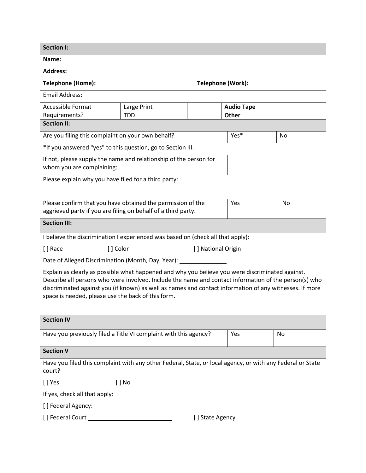| <b>Section I:</b>                                                                                                                                                                                                                                                                                                                                                          |                 |     |                   |    |  |
|----------------------------------------------------------------------------------------------------------------------------------------------------------------------------------------------------------------------------------------------------------------------------------------------------------------------------------------------------------------------------|-----------------|-----|-------------------|----|--|
| Name:                                                                                                                                                                                                                                                                                                                                                                      |                 |     |                   |    |  |
| <b>Address:</b>                                                                                                                                                                                                                                                                                                                                                            |                 |     |                   |    |  |
| Telephone (Home):                                                                                                                                                                                                                                                                                                                                                          |                 |     | Telephone (Work): |    |  |
| <b>Email Address:</b>                                                                                                                                                                                                                                                                                                                                                      |                 |     |                   |    |  |
| <b>Accessible Format</b>                                                                                                                                                                                                                                                                                                                                                   | Large Print     |     | <b>Audio Tape</b> |    |  |
| Requirements?<br><b>Section II:</b>                                                                                                                                                                                                                                                                                                                                        | <b>TDD</b>      |     | Other             |    |  |
|                                                                                                                                                                                                                                                                                                                                                                            |                 |     |                   |    |  |
| Are you filing this complaint on your own behalf?                                                                                                                                                                                                                                                                                                                          |                 |     | Yes*              | No |  |
| *If you answered "yes" to this question, go to Section III.                                                                                                                                                                                                                                                                                                                |                 |     |                   |    |  |
| If not, please supply the name and relationship of the person for<br>whom you are complaining:                                                                                                                                                                                                                                                                             |                 |     |                   |    |  |
| Please explain why you have filed for a third party:                                                                                                                                                                                                                                                                                                                       |                 |     |                   |    |  |
|                                                                                                                                                                                                                                                                                                                                                                            |                 |     |                   |    |  |
| Please confirm that you have obtained the permission of the<br>aggrieved party if you are filing on behalf of a third party.                                                                                                                                                                                                                                               |                 | Yes | No                |    |  |
| <b>Section III:</b>                                                                                                                                                                                                                                                                                                                                                        |                 |     |                   |    |  |
| I believe the discrimination I experienced was based on (check all that apply):                                                                                                                                                                                                                                                                                            |                 |     |                   |    |  |
| [] Color<br>[ ] Race<br>[] National Origin                                                                                                                                                                                                                                                                                                                                 |                 |     |                   |    |  |
| Date of Alleged Discrimination (Month, Day, Year): _____________                                                                                                                                                                                                                                                                                                           |                 |     |                   |    |  |
| Explain as clearly as possible what happened and why you believe you were discriminated against.<br>Describe all persons who were involved. Include the name and contact information of the person(s) who<br>discriminated against you (if known) as well as names and contact information of any witnesses. If more<br>space is needed, please use the back of this form. |                 |     |                   |    |  |
| <b>Section IV</b>                                                                                                                                                                                                                                                                                                                                                          |                 |     |                   |    |  |
| Have you previously filed a Title VI complaint with this agency?                                                                                                                                                                                                                                                                                                           |                 |     | Yes               | No |  |
| <b>Section V</b>                                                                                                                                                                                                                                                                                                                                                           |                 |     |                   |    |  |
| Have you filed this complaint with any other Federal, State, or local agency, or with any Federal or State<br>court?                                                                                                                                                                                                                                                       |                 |     |                   |    |  |
| [ ] Yes                                                                                                                                                                                                                                                                                                                                                                    | $[ ]$ No        |     |                   |    |  |
| If yes, check all that apply:                                                                                                                                                                                                                                                                                                                                              |                 |     |                   |    |  |
| [] Federal Agency:                                                                                                                                                                                                                                                                                                                                                         |                 |     |                   |    |  |
|                                                                                                                                                                                                                                                                                                                                                                            | [] State Agency |     |                   |    |  |